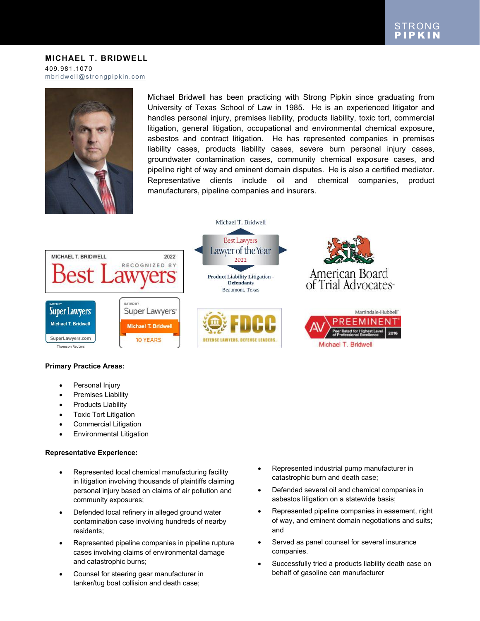### **MICHAEL T. BRIDWELL** 409.981.1070 [mbridwell@strongpipkin.com](mailto:mbridwell@strongpipkin.com)



Michael Bridwell has been practicing with Strong Pipkin since graduating from University of Texas School of Law in 1985. He is an experienced litigator and handles personal injury, premises liability, products liability, toxic tort, commercial litigation, general litigation, occupational and environmental chemical exposure, asbestos and contract litigation. He has represented companies in premises liability cases, products liability cases, severe burn personal injury cases, groundwater contamination cases, community chemical exposure cases, and pipeline right of way and eminent domain disputes. He is also a certified mediator. Representative clients include oil and chemical companies, product manufacturers, pipeline companies and insurers.



### **Primary Practice Areas:**

- Personal Injury
- Premises Liability
- Products Liability
- Toxic Tort Litigation
- Commercial Litigation
- Environmental Litigation

#### **Representative Experience:**

- Represented local chemical manufacturing facility in litigation involving thousands of plaintiffs claiming personal injury based on claims of air pollution and community exposures;
- Defended local refinery in alleged ground water contamination case involving hundreds of nearby residents;
- Represented pipeline companies in pipeline rupture cases involving claims of environmental damage and catastrophic burns;
- Counsel for steering gear manufacturer in tanker/tug boat collision and death case;
- Represented industrial pump manufacturer in catastrophic burn and death case;
- Defended several oil and chemical companies in asbestos litigation on a statewide basis;
- Represented pipeline companies in easement, right of way, and eminent domain negotiations and suits; and
- Served as panel counsel for several insurance companies.
- Successfully tried a products liability death case on behalf of gasoline can manufacturer